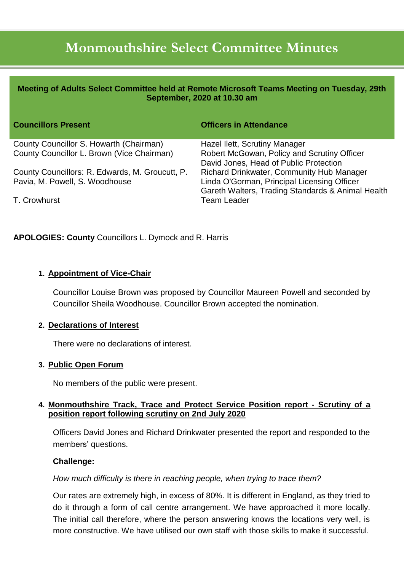# **Monmouthshire Select Committee Minutes**

| Meeting of Adults Select Committee held at Remote Microsoft Teams Meeting on Tuesday, 29th<br>September, 2020 at 10.30 am |                                                                                                  |
|---------------------------------------------------------------------------------------------------------------------------|--------------------------------------------------------------------------------------------------|
| <b>Councillors Present</b>                                                                                                | <b>Officers in Attendance</b>                                                                    |
| County Councillor S. Howarth (Chairman)                                                                                   | Hazel Ilett, Scrutiny Manager                                                                    |
| County Councillor L. Brown (Vice Chairman)                                                                                | Robert McGowan, Policy and Scrutiny Officer<br>David Jones, Head of Public Protection            |
| County Councillors: R. Edwards, M. Groucutt, P.                                                                           | Richard Drinkwater, Community Hub Manager                                                        |
| Pavia, M. Powell, S. Woodhouse                                                                                            | Linda O'Gorman, Principal Licensing Officer<br>Gareth Walters, Trading Standards & Animal Health |
| T. Crowhurst                                                                                                              | Team Leader                                                                                      |

### **APOLOGIES: County** Councillors L. Dymock and R. Harris

#### **1. Appointment of Vice-Chair**

Councillor Louise Brown was proposed by Councillor Maureen Powell and seconded by Councillor Sheila Woodhouse. Councillor Brown accepted the nomination.

#### **2. Declarations of Interest**

There were no declarations of interest.

#### **3. Public Open Forum**

No members of the public were present.

### **4. Monmouthshire Track, Trace and Protect Service Position report - Scrutiny of a position report following scrutiny on 2nd July 2020**

Officers David Jones and Richard Drinkwater presented the report and responded to the members' questions.

### **Challenge:**

### *How much difficulty is there in reaching people, when trying to trace them?*

Our rates are extremely high, in excess of 80%. It is different in England, as they tried to do it through a form of call centre arrangement. We have approached it more locally. The initial call therefore, where the person answering knows the locations very well, is more constructive. We have utilised our own staff with those skills to make it successful.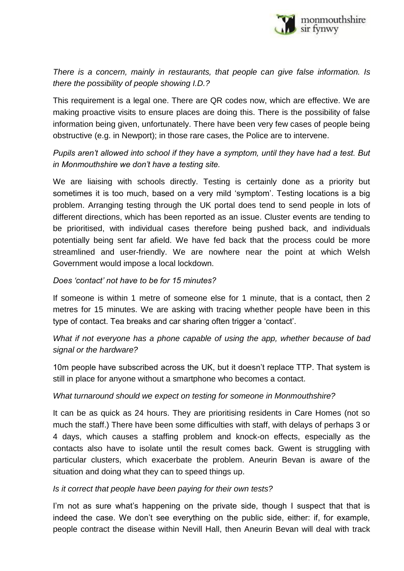

*There is a concern, mainly in restaurants, that people can give false information. Is there the possibility of people showing I.D.?*

This requirement is a legal one. There are QR codes now, which are effective. We are making proactive visits to ensure places are doing this. There is the possibility of false information being given, unfortunately. There have been very few cases of people being obstructive (e.g. in Newport); in those rare cases, the Police are to intervene.

*Pupils aren't allowed into school if they have a symptom, until they have had a test. But in Monmouthshire we don't have a testing site.*

We are liaising with schools directly. Testing is certainly done as a priority but sometimes it is too much, based on a very mild 'symptom'. Testing locations is a big problem. Arranging testing through the UK portal does tend to send people in lots of different directions, which has been reported as an issue. Cluster events are tending to be prioritised, with individual cases therefore being pushed back, and individuals potentially being sent far afield. We have fed back that the process could be more streamlined and user-friendly. We are nowhere near the point at which Welsh Government would impose a local lockdown.

### *Does 'contact' not have to be for 15 minutes?*

If someone is within 1 metre of someone else for 1 minute, that is a contact, then 2 metres for 15 minutes. We are asking with tracing whether people have been in this type of contact. Tea breaks and car sharing often trigger a 'contact'.

*What if not everyone has a phone capable of using the app, whether because of bad signal or the hardware?*

10m people have subscribed across the UK, but it doesn't replace TTP. That system is still in place for anyone without a smartphone who becomes a contact.

### *What turnaround should we expect on testing for someone in Monmouthshire?*

It can be as quick as 24 hours. They are prioritising residents in Care Homes (not so much the staff.) There have been some difficulties with staff, with delays of perhaps 3 or 4 days, which causes a staffing problem and knock-on effects, especially as the contacts also have to isolate until the result comes back. Gwent is struggling with particular clusters, which exacerbate the problem. Aneurin Bevan is aware of the situation and doing what they can to speed things up.

### *Is it correct that people have been paying for their own tests?*

I'm not as sure what's happening on the private side, though I suspect that that is indeed the case. We don't see everything on the public side, either: if, for example, people contract the disease within Nevill Hall, then Aneurin Bevan will deal with track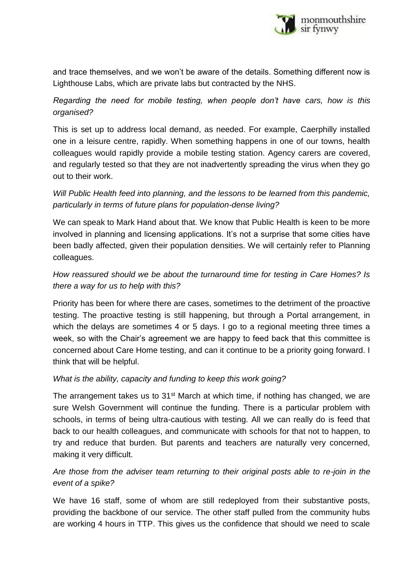

and trace themselves, and we won't be aware of the details. Something different now is Lighthouse Labs, which are private labs but contracted by the NHS.

*Regarding the need for mobile testing, when people don't have cars, how is this organised?*

This is set up to address local demand, as needed. For example, Caerphilly installed one in a leisure centre, rapidly. When something happens in one of our towns, health colleagues would rapidly provide a mobile testing station. Agency carers are covered, and regularly tested so that they are not inadvertently spreading the virus when they go out to their work.

## *Will Public Health feed into planning, and the lessons to be learned from this pandemic, particularly in terms of future plans for population-dense living?*

We can speak to Mark Hand about that. We know that Public Health is keen to be more involved in planning and licensing applications. It's not a surprise that some cities have been badly affected, given their population densities. We will certainly refer to Planning colleagues.

# *How reassured should we be about the turnaround time for testing in Care Homes? Is there a way for us to help with this?*

Priority has been for where there are cases, sometimes to the detriment of the proactive testing. The proactive testing is still happening, but through a Portal arrangement, in which the delays are sometimes 4 or 5 days. I go to a regional meeting three times a week, so with the Chair's agreement we are happy to feed back that this committee is concerned about Care Home testing, and can it continue to be a priority going forward. I think that will be helpful.

### *What is the ability, capacity and funding to keep this work going?*

The arrangement takes us to 31<sup>st</sup> March at which time, if nothing has changed, we are sure Welsh Government will continue the funding. There is a particular problem with schools, in terms of being ultra-cautious with testing. All we can really do is feed that back to our health colleagues, and communicate with schools for that not to happen, to try and reduce that burden. But parents and teachers are naturally very concerned, making it very difficult.

# *Are those from the adviser team returning to their original posts able to re-join in the event of a spike?*

We have 16 staff, some of whom are still redeployed from their substantive posts, providing the backbone of our service. The other staff pulled from the community hubs are working 4 hours in TTP. This gives us the confidence that should we need to scale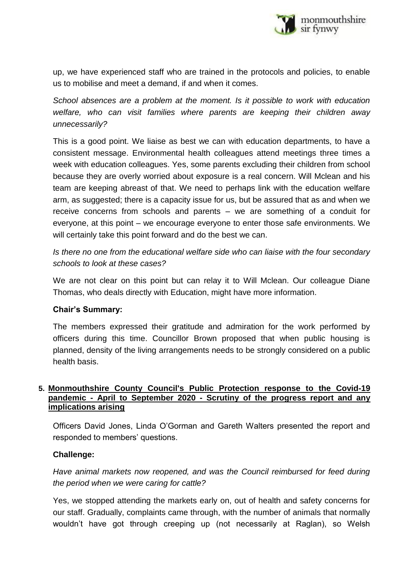

up, we have experienced staff who are trained in the protocols and policies, to enable us to mobilise and meet a demand, if and when it comes.

*School absences are a problem at the moment. Is it possible to work with education welfare, who can visit families where parents are keeping their children away unnecessarily?*

This is a good point. We liaise as best we can with education departments, to have a consistent message. Environmental health colleagues attend meetings three times a week with education colleagues. Yes, some parents excluding their children from school because they are overly worried about exposure is a real concern. Will Mclean and his team are keeping abreast of that. We need to perhaps link with the education welfare arm, as suggested; there is a capacity issue for us, but be assured that as and when we receive concerns from schools and parents – we are something of a conduit for everyone, at this point – we encourage everyone to enter those safe environments. We will certainly take this point forward and do the best we can.

*Is there no one from the educational welfare side who can liaise with the four secondary schools to look at these cases?* 

We are not clear on this point but can relay it to Will Mclean. Our colleague Diane Thomas, who deals directly with Education, might have more information.

### **Chair's Summary:**

The members expressed their gratitude and admiration for the work performed by officers during this time. Councillor Brown proposed that when public housing is planned, density of the living arrangements needs to be strongly considered on a public health basis.

### **5. Monmouthshire County Council's Public Protection response to the Covid-19 pandemic - April to September 2020 - Scrutiny of the progress report and any implications arising**

Officers David Jones, Linda O'Gorman and Gareth Walters presented the report and responded to members' questions.

### **Challenge:**

*Have animal markets now reopened, and was the Council reimbursed for feed during the period when we were caring for cattle?*

Yes, we stopped attending the markets early on, out of health and safety concerns for our staff. Gradually, complaints came through, with the number of animals that normally wouldn't have got through creeping up (not necessarily at Raglan), so Welsh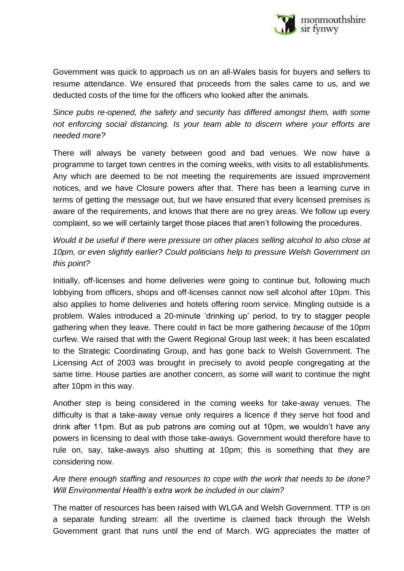

Government was quick to approach us on an all-Wales basis for buyers and sellers to resume attendance. We ensured that proceeds from the sales came to us, and we deducted costs of the time for the officers who looked after the animals.

*Since pubs re-opened, the safety and security has differed amongst them, with some not enforcing social distancing. Is your team able to discern where your efforts are needed more?*

There will always be variety between good and bad venues. We now have a programme to target town centres in the coming weeks, with visits to all establishments. Any which are deemed to be not meeting the requirements are issued improvement notices, and we have Closure powers after that. There has been a learning curve in terms of getting the message out, but we have ensured that every licensed premises is aware of the requirements, and knows that there are no grey areas. We follow up every complaint, so we will certainly target those places that aren't following the procedures.

*Would it be useful if there were pressure on other places selling alcohol to also close at 10pm, or even slightly earlier? Could politicians help to pressure Welsh Government on this point?*

Initially, off-licenses and home deliveries were going to continue but, following much lobbying from officers, shops and off-licenses cannot now sell alcohol after 10pm. This also applies to home deliveries and hotels offering room service. Mingling outside is a problem. Wales introduced a 20-minute 'drinking up' period, to try to stagger people gathering when they leave. There could in fact be more gathering *because* of the 10pm curfew. We raised that with the Gwent Regional Group last week; it has been escalated to the Strategic Coordinating Group, and has gone back to Welsh Government. The Licensing Act of 2003 was brought in precisely to avoid people congregating at the same time. House parties are another concern, as some will want to continue the night after 10pm in this way.

Another step is being considered in the coming weeks for take-away venues. The difficulty is that a take-away venue only requires a licence if they serve hot food and drink after 11pm. But as pub patrons are coming out at 10pm, we wouldn't have any powers in licensing to deal with those take-aways. Government would therefore have to rule on, say, take-aways also shutting at 10pm; this is something that they are considering now.

### *Are there enough staffing and resources to cope with the work that needs to be done? Will Environmental Health's extra work be included in our claim?*

The matter of resources has been raised with WLGA and Welsh Government. TTP is on a separate funding stream: all the overtime is claimed back through the Welsh Government grant that runs until the end of March. WG appreciates the matter of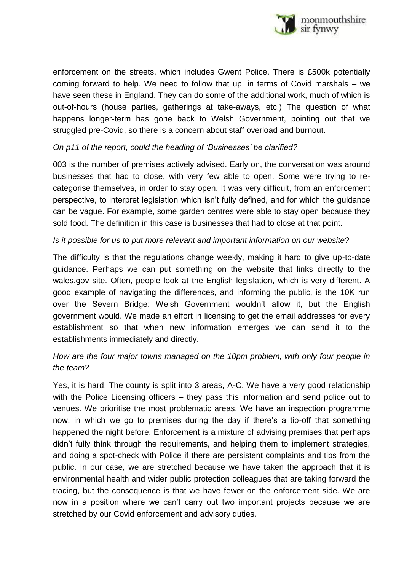

enforcement on the streets, which includes Gwent Police. There is £500k potentially coming forward to help. We need to follow that up, in terms of Covid marshals – we have seen these in England. They can do some of the additional work, much of which is out-of-hours (house parties, gatherings at take-aways, etc.) The question of what happens longer-term has gone back to Welsh Government, pointing out that we struggled pre-Covid, so there is a concern about staff overload and burnout.

### *On p11 of the report, could the heading of 'Businesses' be clarified?*

003 is the number of premises actively advised. Early on, the conversation was around businesses that had to close, with very few able to open. Some were trying to recategorise themselves, in order to stay open. It was very difficult, from an enforcement perspective, to interpret legislation which isn't fully defined, and for which the guidance can be vague. For example, some garden centres were able to stay open because they sold food. The definition in this case is businesses that had to close at that point.

### *Is it possible for us to put more relevant and important information on our website?*

The difficulty is that the regulations change weekly, making it hard to give up-to-date guidance. Perhaps we can put something on the website that links directly to the wales.gov site. Often, people look at the English legislation, which is very different. A good example of navigating the differences, and informing the public, is the 10K run over the Severn Bridge: Welsh Government wouldn't allow it, but the English government would. We made an effort in licensing to get the email addresses for every establishment so that when new information emerges we can send it to the establishments immediately and directly.

### *How are the four major towns managed on the 10pm problem, with only four people in the team?*

Yes, it is hard. The county is split into 3 areas, A-C. We have a very good relationship with the Police Licensing officers – they pass this information and send police out to venues. We prioritise the most problematic areas. We have an inspection programme now, in which we go to premises during the day if there's a tip-off that something happened the night before. Enforcement is a mixture of advising premises that perhaps didn't fully think through the requirements, and helping them to implement strategies, and doing a spot-check with Police if there are persistent complaints and tips from the public. In our case, we are stretched because we have taken the approach that it is environmental health and wider public protection colleagues that are taking forward the tracing, but the consequence is that we have fewer on the enforcement side. We are now in a position where we can't carry out two important projects because we are stretched by our Covid enforcement and advisory duties.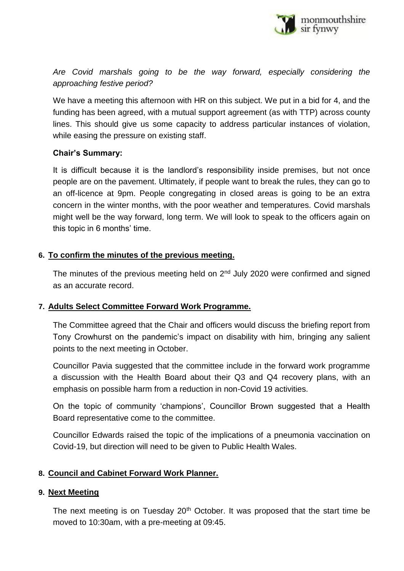

*Are Covid marshals going to be the way forward, especially considering the approaching festive period?*

We have a meeting this afternoon with HR on this subject. We put in a bid for 4, and the funding has been agreed, with a mutual support agreement (as with TTP) across county lines. This should give us some capacity to address particular instances of violation, while easing the pressure on existing staff.

### **Chair's Summary:**

It is difficult because it is the landlord's responsibility inside premises, but not once people are on the pavement. Ultimately, if people want to break the rules, they can go to an off-licence at 9pm. People congregating in closed areas is going to be an extra concern in the winter months, with the poor weather and temperatures. Covid marshals might well be the way forward, long term. We will look to speak to the officers again on this topic in 6 months' time.

### **6. To confirm the minutes of the previous meeting.**

The minutes of the previous meeting held on  $2<sup>nd</sup>$  July 2020 were confirmed and signed as an accurate record.

### **7. Adults Select Committee Forward Work Programme.**

The Committee agreed that the Chair and officers would discuss the briefing report from Tony Crowhurst on the pandemic's impact on disability with him, bringing any salient points to the next meeting in October.

Councillor Pavia suggested that the committee include in the forward work programme a discussion with the Health Board about their Q3 and Q4 recovery plans, with an emphasis on possible harm from a reduction in non-Covid 19 activities.

On the topic of community 'champions', Councillor Brown suggested that a Health Board representative come to the committee.

Councillor Edwards raised the topic of the implications of a pneumonia vaccination on Covid-19, but direction will need to be given to Public Health Wales.

### **8. Council and Cabinet Forward Work Planner.**

### **9. Next Meeting**

The next meeting is on Tuesday 20<sup>th</sup> October. It was proposed that the start time be moved to 10:30am, with a pre-meeting at 09:45.